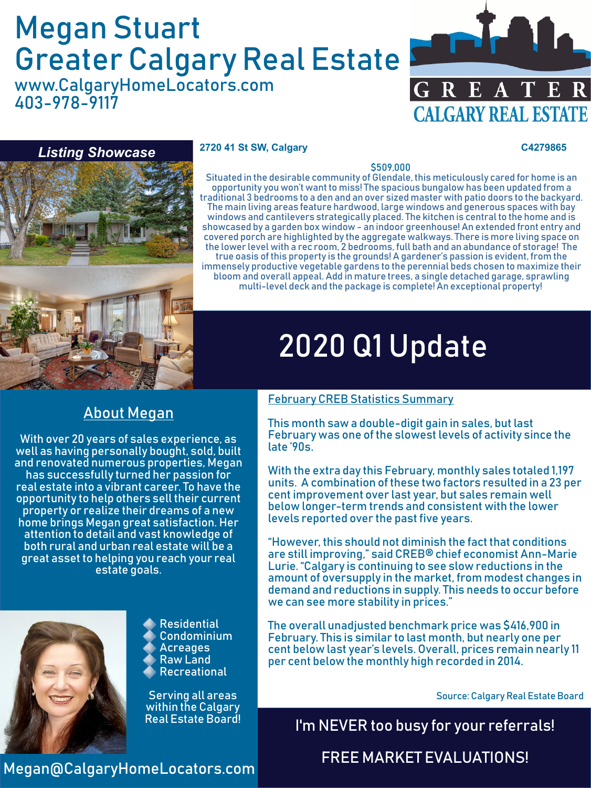# Megan Stuart Greater Calgary Real Estate

www.CalgaryHomeLocators.com 403-978-9117





#### **2720 41 St SW, Calgary C4279865**

#### \$509,000

Situated in the desirable community of Glendale, this meticulously cared for home is an opportunity you won't want to miss! The spacious bungalow has been updated from a traditional 3 bedrooms to a den and an over sized master with patio doors to the backyard. The main living areas feature hardwood, large windows and generous spaces with bay windows and cantilevers strategically placed. The kitchen is central to the home and is showcased by a garden box window - an indoor greenhouse! An extended front entry and covered porch are highlighted by the aggregate walkways. There is more living space on the lower level with a rec room, 2 bedrooms, full bath and an abundance of storage! The true oasis of this property is the grounds! A gardener's passion is evident, from the immensely productive vegetable gardens to the perennial beds chosen to maximize their bloom and overall appeal. Add in mature trees, a single detached garage, sprawling multi-level deck and the package is complete! An exceptional property!

# About Megan

With over 20 years of sales experience, as well as having personally bought, sold, built and renovated numerous properties, Megan has successfully turned her passion for real estate into a vibrant career. To have the opportunity to help others sell their current property or realize their dreams of a new home brings Megan great satisfaction. Her attention to detail and vast knowledge of both rural and urban real estate will be a great asset to helping you reach your real estate goals.



Residential Condominium Acreages Raw Land Recreational

Serving all areas within the Calgary

# February CREB Statistics Summary

2020 Q1 Update

This month saw a double-digit gain in sales, but last February was one of the slowest levels of activity since the late '90s.

With the extra day this February, monthly sales totaled 1,197 units. A combination of these two factors resulted in a 23 per cent improvement over last year, but sales remain well below longer-term trends and consistent with the lower levels reported over the past five years.

"However, this should not diminish the fact that conditions are still improving," said CREB® chief economist Ann-Marie Lurie. "Calgary is continuing to see slow reductions in the amount of oversupply in the market, from modest changes in demand and reductions in supply. This needs to occur before we can see more stability in prices."

The overall unadjusted benchmark price was \$416,900 in February. This is similar to last month, but nearly one per cent below last year's levels. Overall, prices remain nearly 11 per cent below the monthly high recorded in 2014.

Source: Calgary Real Estate Board

I'm NEVER too busy for your referrals!

FREE MARKET EVALUATIONS!

Megan@CalgaryHomeLocators.com